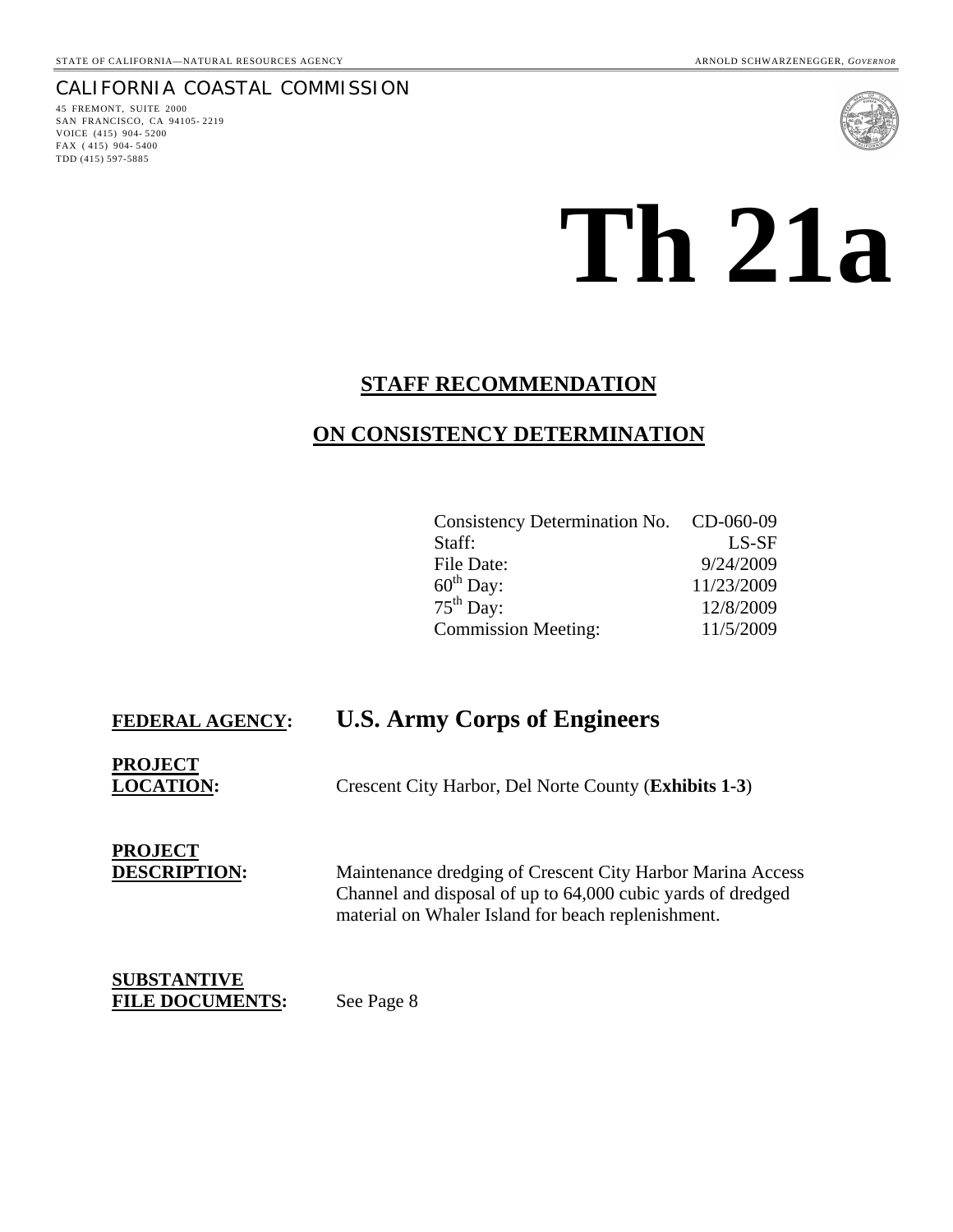# CALIFORNIA COASTAL COMMISSION

45 FREMONT, SUITE 2000 SAN FRANCISCO, CA 94105- 2219 VOICE (415) 904- 5200 FAX ( 415) 904- 5400 TDD (415) 597-5885



# **Th 21a**

# **STAFF RECOMMENDATION**

# **ON CONSISTENCY DETERMINATION**

| Consistency Determination No. CD-060-09 |            |
|-----------------------------------------|------------|
| Staff:                                  | $LS-SF$    |
| File Date:                              | 9/24/2009  |
| $60^{\text{th}}$ Day:                   | 11/23/2009 |
| $75th$ Day:                             | 12/8/2009  |
| <b>Commission Meeting:</b>              | 11/5/2009  |

# **FEDERAL AGENCY: U.S. Army Corps of Engineers**

**PROJECT**

**LOCATION:** Crescent City Harbor, Del Norte County (**Exhibits 1-3**)

**PROJECT**

**DESCRIPTION:** Maintenance dredging of Crescent City Harbor Marina Access Channel and disposal of up to 64,000 cubic yards of dredged material on Whaler Island for beach replenishment.

**SUBSTANTIVE** FILE DOCUMENTS: See Page 8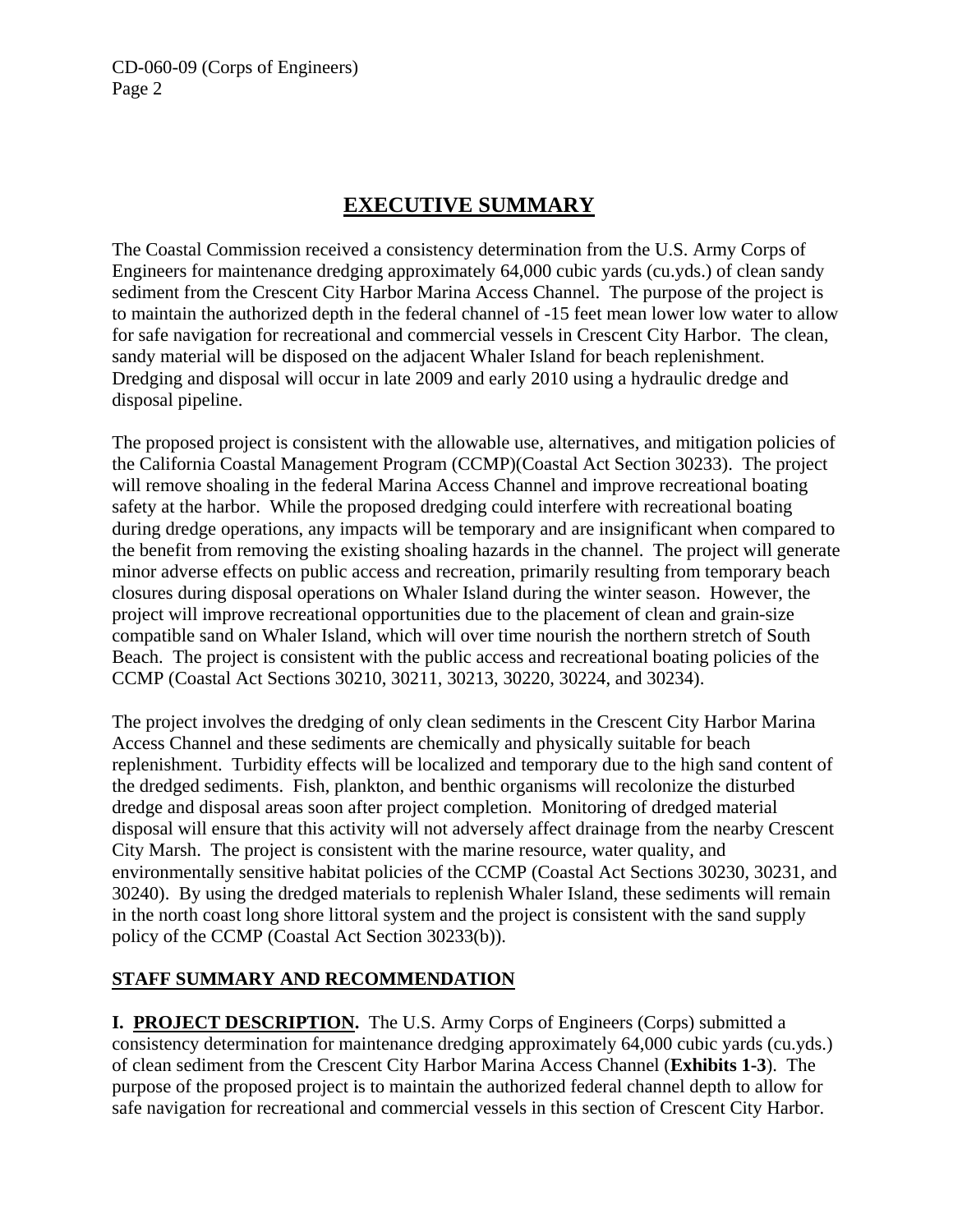# **EXECUTIVE SUMMARY**

The Coastal Commission received a consistency determination from the U.S. Army Corps of Engineers for maintenance dredging approximately 64,000 cubic yards (cu.yds.) of clean sandy sediment from the Crescent City Harbor Marina Access Channel. The purpose of the project is to maintain the authorized depth in the federal channel of -15 feet mean lower low water to allow for safe navigation for recreational and commercial vessels in Crescent City Harbor. The clean, sandy material will be disposed on the adjacent Whaler Island for beach replenishment. Dredging and disposal will occur in late 2009 and early 2010 using a hydraulic dredge and disposal pipeline.

The proposed project is consistent with the allowable use, alternatives, and mitigation policies of the California Coastal Management Program (CCMP)(Coastal Act Section 30233). The project will remove shoaling in the federal Marina Access Channel and improve recreational boating safety at the harbor. While the proposed dredging could interfere with recreational boating during dredge operations, any impacts will be temporary and are insignificant when compared to the benefit from removing the existing shoaling hazards in the channel. The project will generate minor adverse effects on public access and recreation, primarily resulting from temporary beach closures during disposal operations on Whaler Island during the winter season. However, the project will improve recreational opportunities due to the placement of clean and grain-size compatible sand on Whaler Island, which will over time nourish the northern stretch of South Beach. The project is consistent with the public access and recreational boating policies of the CCMP (Coastal Act Sections 30210, 30211, 30213, 30220, 30224, and 30234).

The project involves the dredging of only clean sediments in the Crescent City Harbor Marina Access Channel and these sediments are chemically and physically suitable for beach replenishment. Turbidity effects will be localized and temporary due to the high sand content of the dredged sediments. Fish, plankton, and benthic organisms will recolonize the disturbed dredge and disposal areas soon after project completion. Monitoring of dredged material disposal will ensure that this activity will not adversely affect drainage from the nearby Crescent City Marsh. The project is consistent with the marine resource, water quality, and environmentally sensitive habitat policies of the CCMP (Coastal Act Sections 30230, 30231, and 30240). By using the dredged materials to replenish Whaler Island, these sediments will remain in the north coast long shore littoral system and the project is consistent with the sand supply policy of the CCMP (Coastal Act Section 30233(b)).

# **STAFF SUMMARY AND RECOMMENDATION**

**I. PROJECT DESCRIPTION.** The U.S. Army Corps of Engineers (Corps) submitted a consistency determination for maintenance dredging approximately 64,000 cubic yards (cu.yds.) of clean sediment from the Crescent City Harbor Marina Access Channel (**Exhibits 1-3**). The purpose of the proposed project is to maintain the authorized federal channel depth to allow for safe navigation for recreational and commercial vessels in this section of Crescent City Harbor.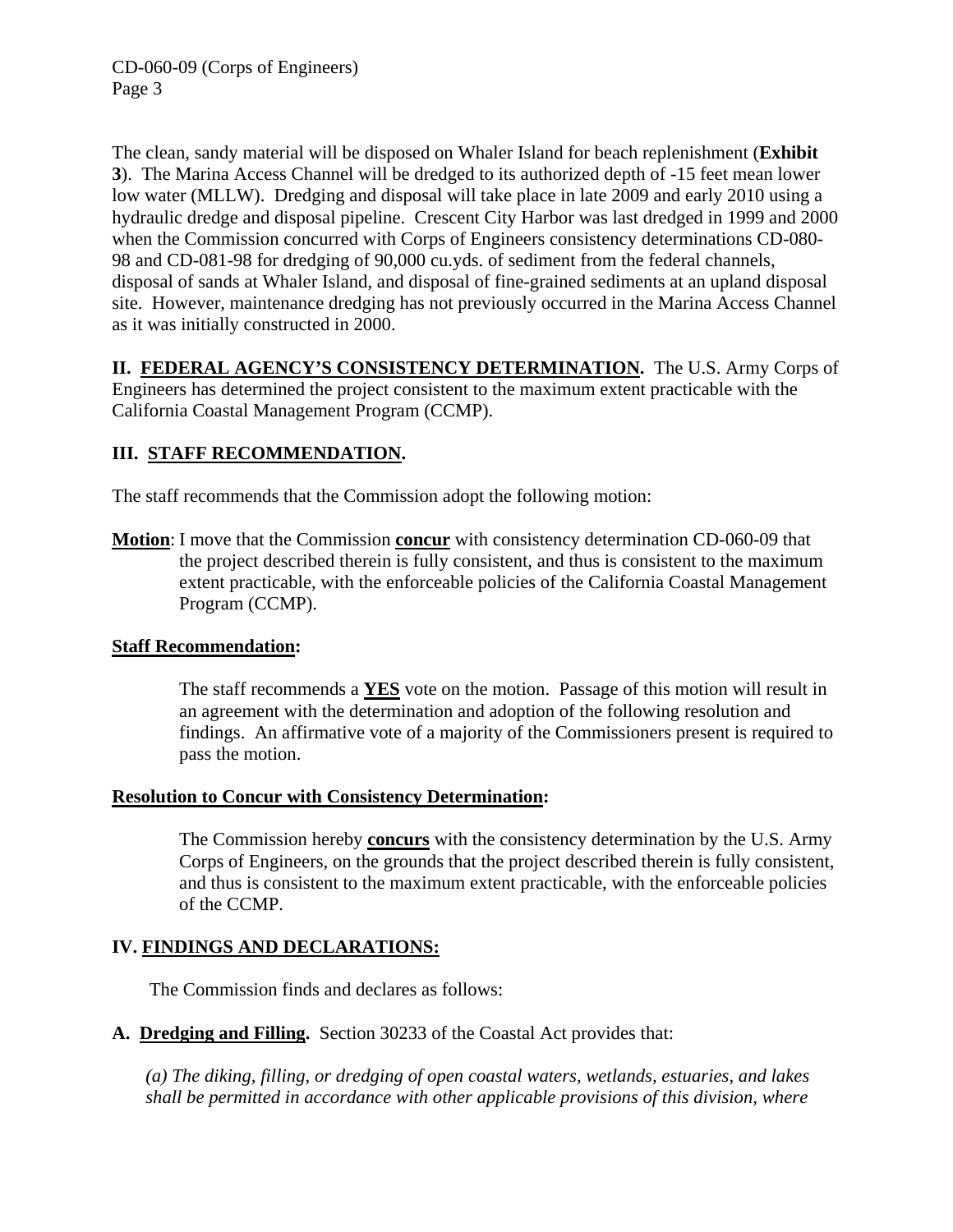The clean, sandy material will be disposed on Whaler Island for beach replenishment (**Exhibit 3**). The Marina Access Channel will be dredged to its authorized depth of -15 feet mean lower low water (MLLW). Dredging and disposal will take place in late 2009 and early 2010 using a hydraulic dredge and disposal pipeline. Crescent City Harbor was last dredged in 1999 and 2000 when the Commission concurred with Corps of Engineers consistency determinations CD-080- 98 and CD-081-98 for dredging of 90,000 cu.yds. of sediment from the federal channels, disposal of sands at Whaler Island, and disposal of fine-grained sediments at an upland disposal site. However, maintenance dredging has not previously occurred in the Marina Access Channel as it was initially constructed in 2000.

**II. FEDERAL AGENCY'S CONSISTENCY DETERMINATION.** The U.S. Army Corps of Engineers has determined the project consistent to the maximum extent practicable with the California Coastal Management Program (CCMP).

# **III. STAFF RECOMMENDATION.**

The staff recommends that the Commission adopt the following motion:

**Motion**: I move that the Commission **concur** with consistency determination CD-060-09 that the project described therein is fully consistent, and thus is consistent to the maximum extent practicable, with the enforceable policies of the California Coastal Management Program (CCMP).

# **Staff Recommendation:**

The staff recommends a **YES** vote on the motion. Passage of this motion will result in an agreement with the determination and adoption of the following resolution and findings. An affirmative vote of a majority of the Commissioners present is required to pass the motion.

# **Resolution to Concur with Consistency Determination:**

The Commission hereby **concurs** with the consistency determination by the U.S. Army Corps of Engineers, on the grounds that the project described therein is fully consistent, and thus is consistent to the maximum extent practicable, with the enforceable policies of the CCMP.

# **IV. FINDINGS AND DECLARATIONS:**

The Commission finds and declares as follows:

**A. Dredging and Filling.** Section 30233 of the Coastal Act provides that:

*(a) The diking, filling, or dredging of open coastal waters, wetlands, estuaries, and lakes shall be permitted in accordance with other applicable provisions of this division, where*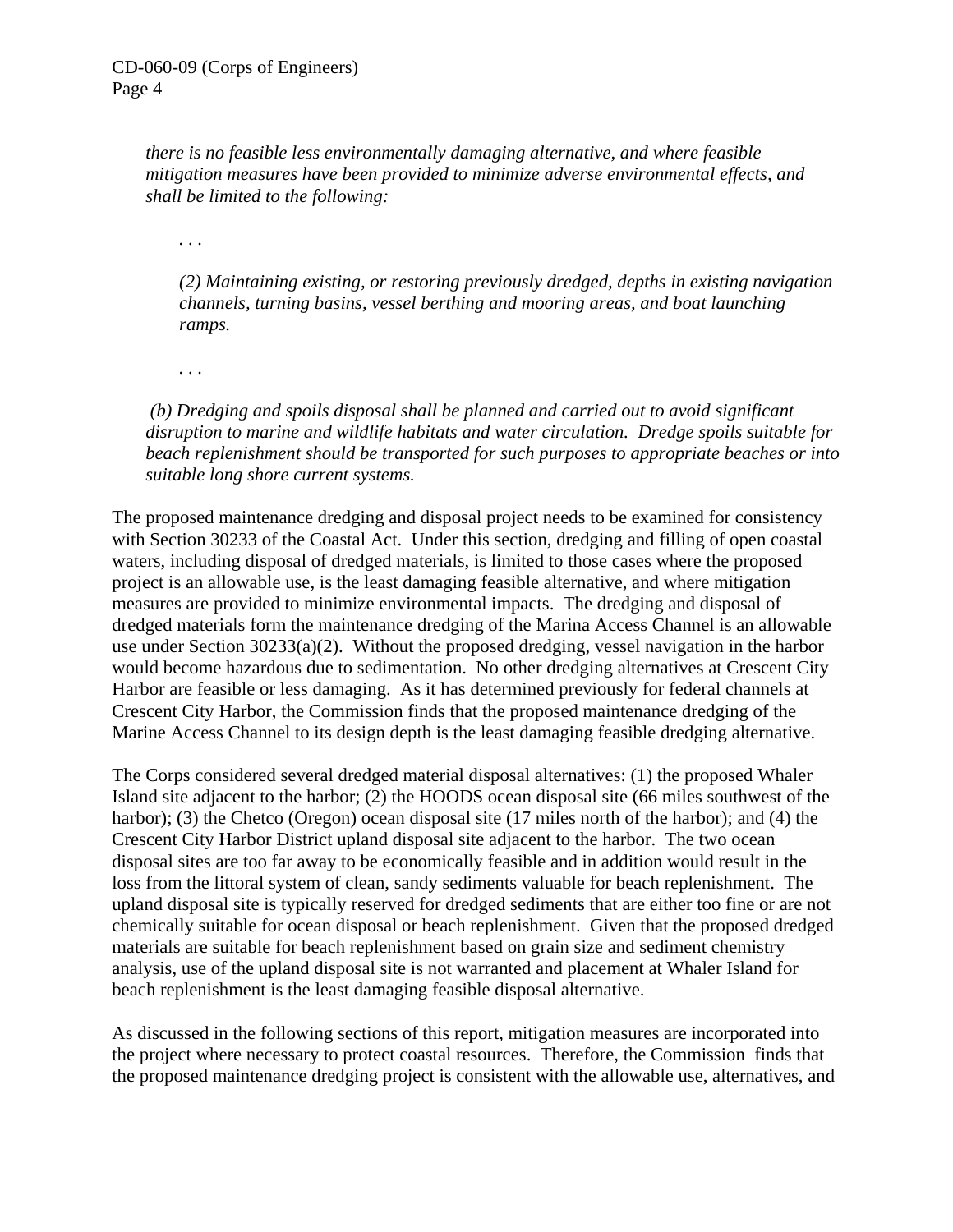*there is no feasible less environmentally damaging alternative, and where feasible mitigation measures have been provided to minimize adverse environmental effects, and shall be limited to the following:* 

*. . .* 

*(2) Maintaining existing, or restoring previously dredged, depths in existing navigation channels, turning basins, vessel berthing and mooring areas, and boat launching ramps.* 

*. . .* 

 *(b) Dredging and spoils disposal shall be planned and carried out to avoid significant disruption to marine and wildlife habitats and water circulation. Dredge spoils suitable for beach replenishment should be transported for such purposes to appropriate beaches or into suitable long shore current systems.* 

The proposed maintenance dredging and disposal project needs to be examined for consistency with Section 30233 of the Coastal Act. Under this section, dredging and filling of open coastal waters, including disposal of dredged materials, is limited to those cases where the proposed project is an allowable use, is the least damaging feasible alternative, and where mitigation measures are provided to minimize environmental impacts. The dredging and disposal of dredged materials form the maintenance dredging of the Marina Access Channel is an allowable use under Section 30233(a)(2). Without the proposed dredging, vessel navigation in the harbor would become hazardous due to sedimentation. No other dredging alternatives at Crescent City Harbor are feasible or less damaging. As it has determined previously for federal channels at Crescent City Harbor, the Commission finds that the proposed maintenance dredging of the Marine Access Channel to its design depth is the least damaging feasible dredging alternative.

The Corps considered several dredged material disposal alternatives: (1) the proposed Whaler Island site adjacent to the harbor; (2) the HOODS ocean disposal site (66 miles southwest of the harbor); (3) the Chetco (Oregon) ocean disposal site (17 miles north of the harbor); and (4) the Crescent City Harbor District upland disposal site adjacent to the harbor. The two ocean disposal sites are too far away to be economically feasible and in addition would result in the loss from the littoral system of clean, sandy sediments valuable for beach replenishment. The upland disposal site is typically reserved for dredged sediments that are either too fine or are not chemically suitable for ocean disposal or beach replenishment. Given that the proposed dredged materials are suitable for beach replenishment based on grain size and sediment chemistry analysis, use of the upland disposal site is not warranted and placement at Whaler Island for beach replenishment is the least damaging feasible disposal alternative.

As discussed in the following sections of this report, mitigation measures are incorporated into the project where necessary to protect coastal resources. Therefore, the Commission finds that the proposed maintenance dredging project is consistent with the allowable use, alternatives, and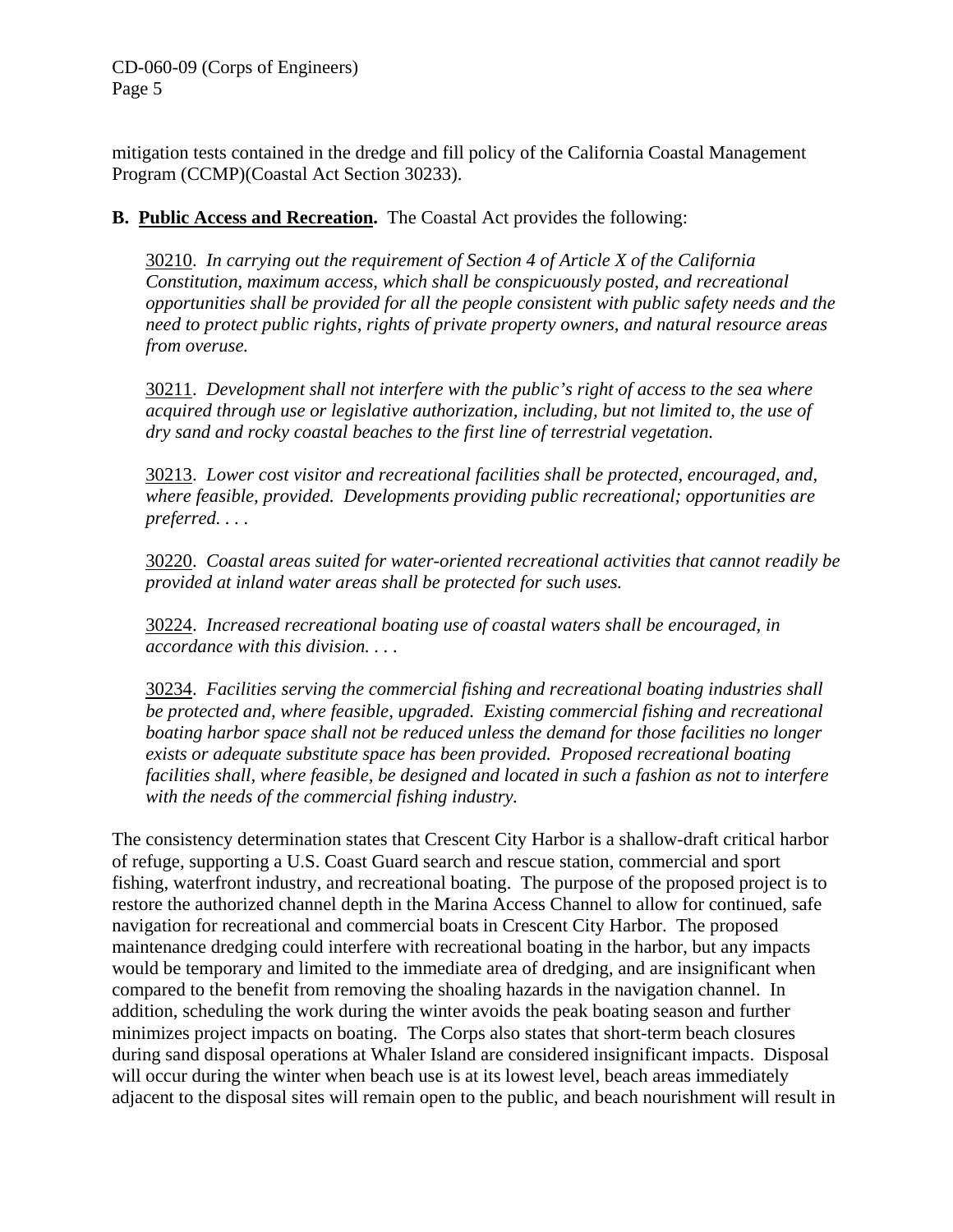mitigation tests contained in the dredge and fill policy of the California Coastal Management Program (CCMP)(Coastal Act Section 30233).

# **B. Public Access and Recreation.** The Coastal Act provides the following:

30210. *In carrying out the requirement of Section 4 of Article X of the California Constitution, maximum access, which shall be conspicuously posted, and recreational opportunities shall be provided for all the people consistent with public safety needs and the need to protect public rights, rights of private property owners, and natural resource areas from overuse.*

30211. *Development shall not interfere with the public's right of access to the sea where acquired through use or legislative authorization, including, but not limited to, the use of dry sand and rocky coastal beaches to the first line of terrestrial vegetation.*

30213. *Lower cost visitor and recreational facilities shall be protected, encouraged, and, where feasible, provided. Developments providing public recreational; opportunities are preferred. . . .* 

30220. *Coastal areas suited for water-oriented recreational activities that cannot readily be provided at inland water areas shall be protected for such uses.* 

30224. *Increased recreational boating use of coastal waters shall be encouraged, in accordance with this division. . . .* 

30234. *Facilities serving the commercial fishing and recreational boating industries shall be protected and, where feasible, upgraded. Existing commercial fishing and recreational boating harbor space shall not be reduced unless the demand for those facilities no longer exists or adequate substitute space has been provided. Proposed recreational boating facilities shall, where feasible, be designed and located in such a fashion as not to interfere with the needs of the commercial fishing industry.* 

The consistency determination states that Crescent City Harbor is a shallow-draft critical harbor of refuge, supporting a U.S. Coast Guard search and rescue station, commercial and sport fishing, waterfront industry, and recreational boating. The purpose of the proposed project is to restore the authorized channel depth in the Marina Access Channel to allow for continued, safe navigation for recreational and commercial boats in Crescent City Harbor. The proposed maintenance dredging could interfere with recreational boating in the harbor, but any impacts would be temporary and limited to the immediate area of dredging, and are insignificant when compared to the benefit from removing the shoaling hazards in the navigation channel. In addition, scheduling the work during the winter avoids the peak boating season and further minimizes project impacts on boating. The Corps also states that short-term beach closures during sand disposal operations at Whaler Island are considered insignificant impacts. Disposal will occur during the winter when beach use is at its lowest level, beach areas immediately adjacent to the disposal sites will remain open to the public, and beach nourishment will result in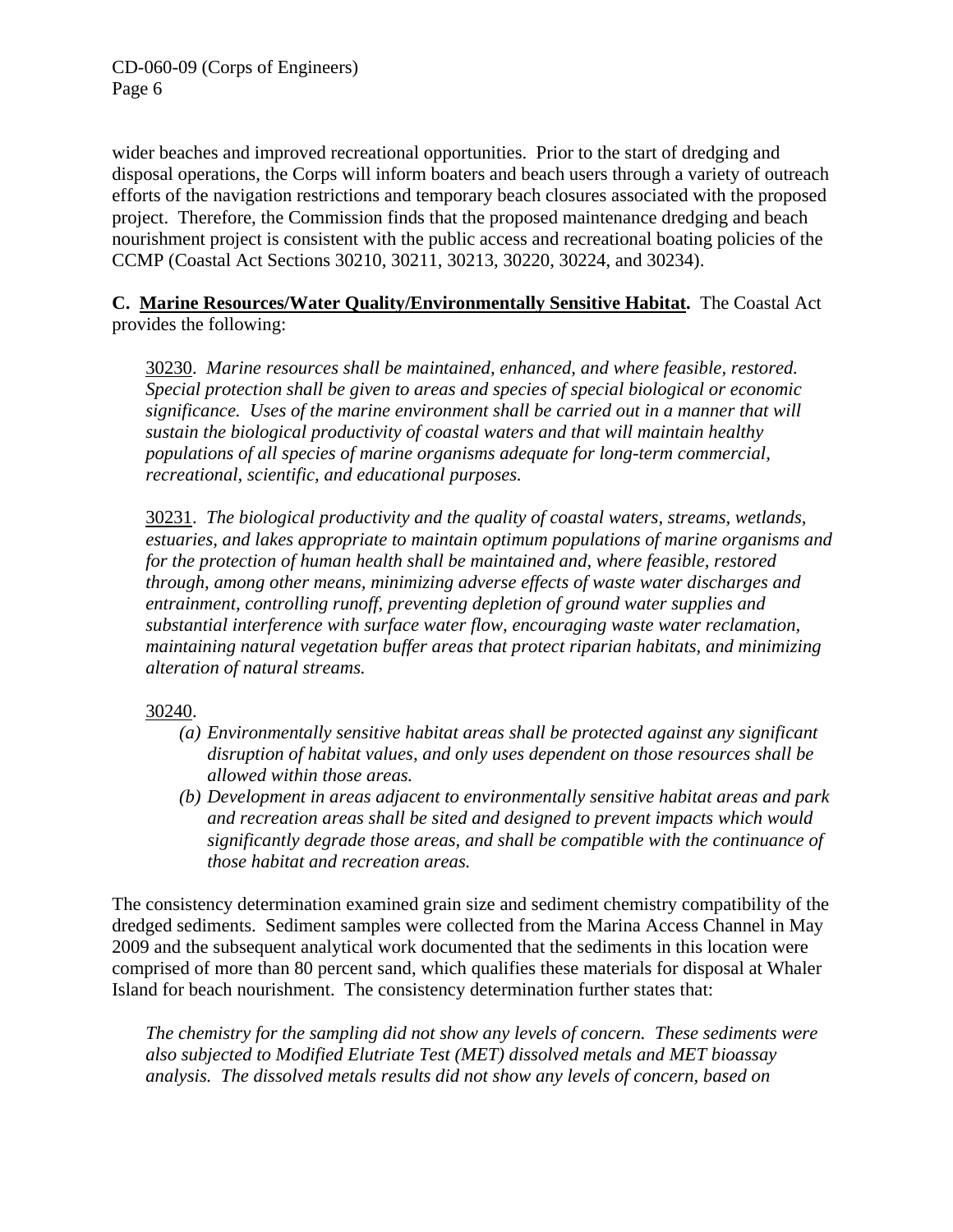wider beaches and improved recreational opportunities. Prior to the start of dredging and disposal operations, the Corps will inform boaters and beach users through a variety of outreach efforts of the navigation restrictions and temporary beach closures associated with the proposed project. Therefore, the Commission finds that the proposed maintenance dredging and beach nourishment project is consistent with the public access and recreational boating policies of the CCMP (Coastal Act Sections 30210, 30211, 30213, 30220, 30224, and 30234).

**C. Marine Resources/Water Quality/Environmentally Sensitive Habitat.** The Coastal Act provides the following:

30230. *Marine resources shall be maintained, enhanced, and where feasible, restored. Special protection shall be given to areas and species of special biological or economic significance. Uses of the marine environment shall be carried out in a manner that will sustain the biological productivity of coastal waters and that will maintain healthy populations of all species of marine organisms adequate for long-term commercial, recreational, scientific, and educational purposes.* 

30231. *The biological productivity and the quality of coastal waters, streams, wetlands, estuaries, and lakes appropriate to maintain optimum populations of marine organisms and for the protection of human health shall be maintained and, where feasible, restored through, among other means, minimizing adverse effects of waste water discharges and entrainment, controlling runoff, preventing depletion of ground water supplies and substantial interference with surface water flow, encouraging waste water reclamation, maintaining natural vegetation buffer areas that protect riparian habitats, and minimizing alteration of natural streams.* 

30240.

- *(a) Environmentally sensitive habitat areas shall be protected against any significant disruption of habitat values, and only uses dependent on those resources shall be allowed within those areas.*
- *(b) Development in areas adjacent to environmentally sensitive habitat areas and park and recreation areas shall be sited and designed to prevent impacts which would significantly degrade those areas, and shall be compatible with the continuance of those habitat and recreation areas.*

The consistency determination examined grain size and sediment chemistry compatibility of the dredged sediments. Sediment samples were collected from the Marina Access Channel in May 2009 and the subsequent analytical work documented that the sediments in this location were comprised of more than 80 percent sand, which qualifies these materials for disposal at Whaler Island for beach nourishment. The consistency determination further states that:

*The chemistry for the sampling did not show any levels of concern. These sediments were also subjected to Modified Elutriate Test (MET) dissolved metals and MET bioassay analysis. The dissolved metals results did not show any levels of concern, based on*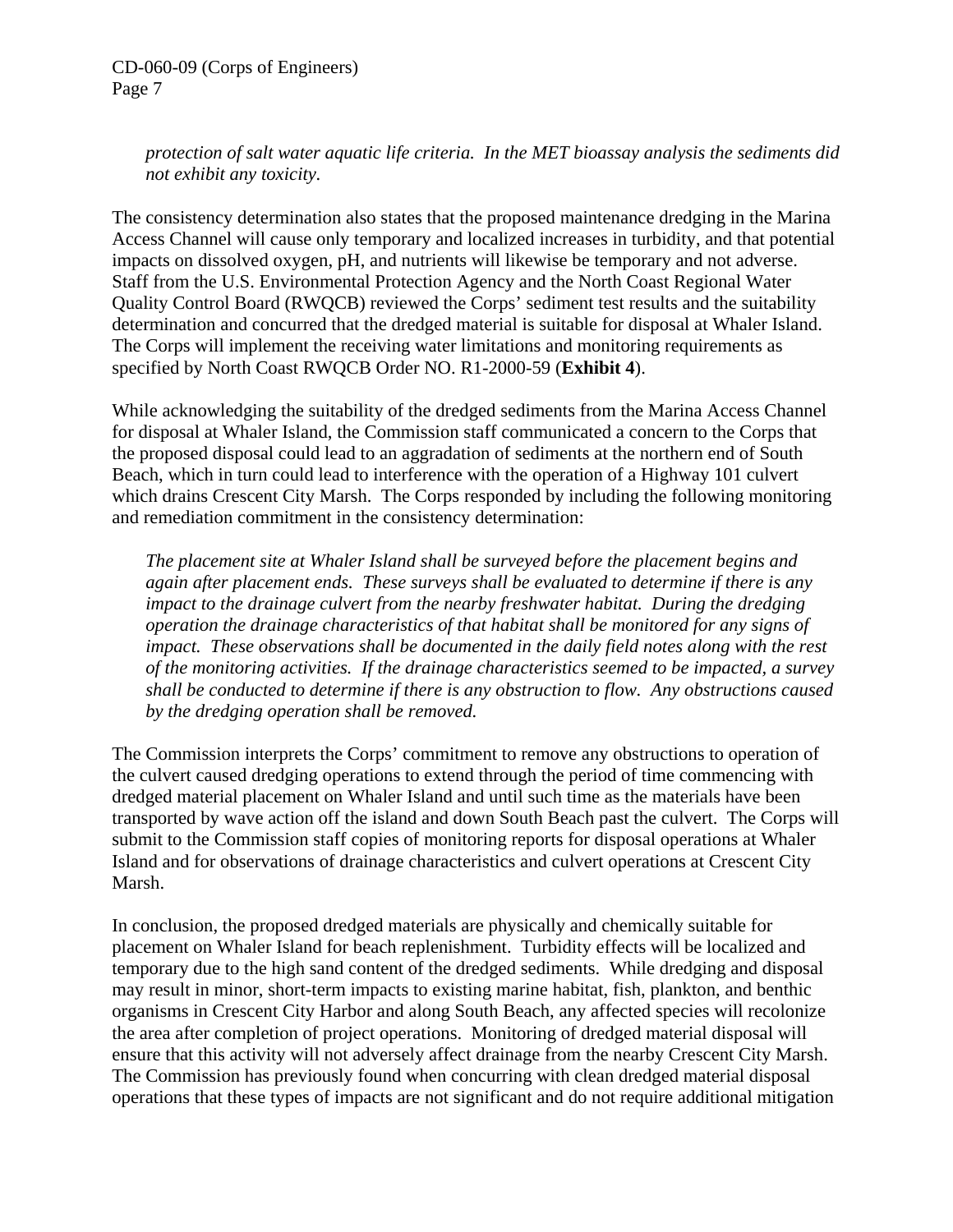*protection of salt water aquatic life criteria. In the MET bioassay analysis the sediments did not exhibit any toxicity.* 

The consistency determination also states that the proposed maintenance dredging in the Marina Access Channel will cause only temporary and localized increases in turbidity, and that potential impacts on dissolved oxygen, pH, and nutrients will likewise be temporary and not adverse. Staff from the U.S. Environmental Protection Agency and the North Coast Regional Water Quality Control Board (RWQCB) reviewed the Corps' sediment test results and the suitability determination and concurred that the dredged material is suitable for disposal at Whaler Island. The Corps will implement the receiving water limitations and monitoring requirements as specified by North Coast RWQCB Order NO. R1-2000-59 (**Exhibit 4**).

While acknowledging the suitability of the dredged sediments from the Marina Access Channel for disposal at Whaler Island, the Commission staff communicated a concern to the Corps that the proposed disposal could lead to an aggradation of sediments at the northern end of South Beach, which in turn could lead to interference with the operation of a Highway 101 culvert which drains Crescent City Marsh. The Corps responded by including the following monitoring and remediation commitment in the consistency determination:

*The placement site at Whaler Island shall be surveyed before the placement begins and again after placement ends. These surveys shall be evaluated to determine if there is any impact to the drainage culvert from the nearby freshwater habitat. During the dredging operation the drainage characteristics of that habitat shall be monitored for any signs of impact. These observations shall be documented in the daily field notes along with the rest of the monitoring activities. If the drainage characteristics seemed to be impacted, a survey shall be conducted to determine if there is any obstruction to flow. Any obstructions caused by the dredging operation shall be removed.* 

The Commission interprets the Corps' commitment to remove any obstructions to operation of the culvert caused dredging operations to extend through the period of time commencing with dredged material placement on Whaler Island and until such time as the materials have been transported by wave action off the island and down South Beach past the culvert. The Corps will submit to the Commission staff copies of monitoring reports for disposal operations at Whaler Island and for observations of drainage characteristics and culvert operations at Crescent City Marsh.

In conclusion, the proposed dredged materials are physically and chemically suitable for placement on Whaler Island for beach replenishment. Turbidity effects will be localized and temporary due to the high sand content of the dredged sediments. While dredging and disposal may result in minor, short-term impacts to existing marine habitat, fish, plankton, and benthic organisms in Crescent City Harbor and along South Beach, any affected species will recolonize the area after completion of project operations. Monitoring of dredged material disposal will ensure that this activity will not adversely affect drainage from the nearby Crescent City Marsh. The Commission has previously found when concurring with clean dredged material disposal operations that these types of impacts are not significant and do not require additional mitigation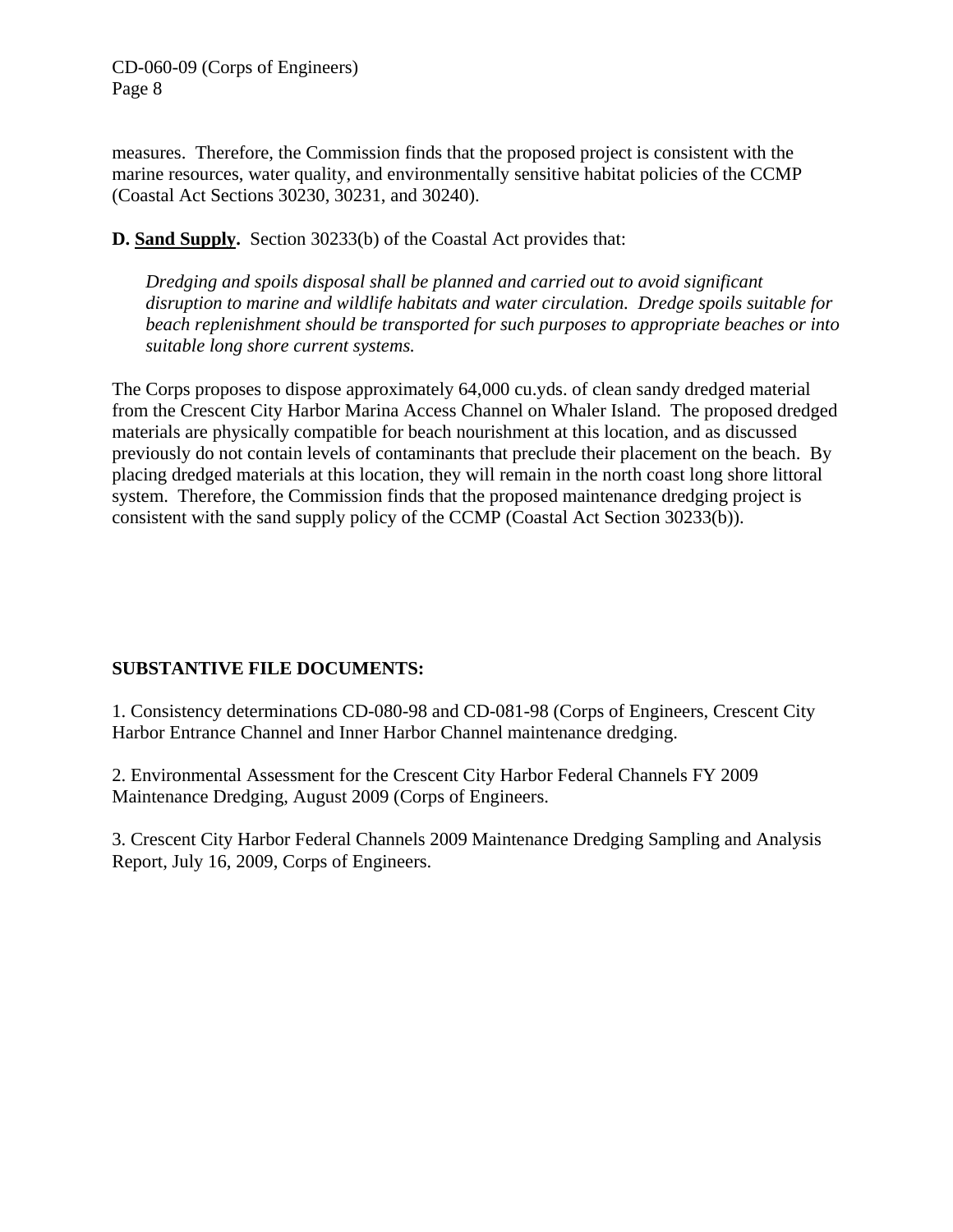measures. Therefore, the Commission finds that the proposed project is consistent with the marine resources, water quality, and environmentally sensitive habitat policies of the CCMP (Coastal Act Sections 30230, 30231, and 30240).

**D. Sand Supply.** Section 30233(b) of the Coastal Act provides that:

*Dredging and spoils disposal shall be planned and carried out to avoid significant disruption to marine and wildlife habitats and water circulation. Dredge spoils suitable for beach replenishment should be transported for such purposes to appropriate beaches or into suitable long shore current systems.* 

The Corps proposes to dispose approximately 64,000 cu.yds. of clean sandy dredged material from the Crescent City Harbor Marina Access Channel on Whaler Island. The proposed dredged materials are physically compatible for beach nourishment at this location, and as discussed previously do not contain levels of contaminants that preclude their placement on the beach. By placing dredged materials at this location, they will remain in the north coast long shore littoral system. Therefore, the Commission finds that the proposed maintenance dredging project is consistent with the sand supply policy of the CCMP (Coastal Act Section 30233(b)).

# **SUBSTANTIVE FILE DOCUMENTS:**

1. Consistency determinations CD-080-98 and CD-081-98 (Corps of Engineers, Crescent City Harbor Entrance Channel and Inner Harbor Channel maintenance dredging.

2. Environmental Assessment for the Crescent City Harbor Federal Channels FY 2009 Maintenance Dredging, August 2009 (Corps of Engineers.

3. Crescent City Harbor Federal Channels 2009 Maintenance Dredging Sampling and Analysis Report, July 16, 2009, Corps of Engineers.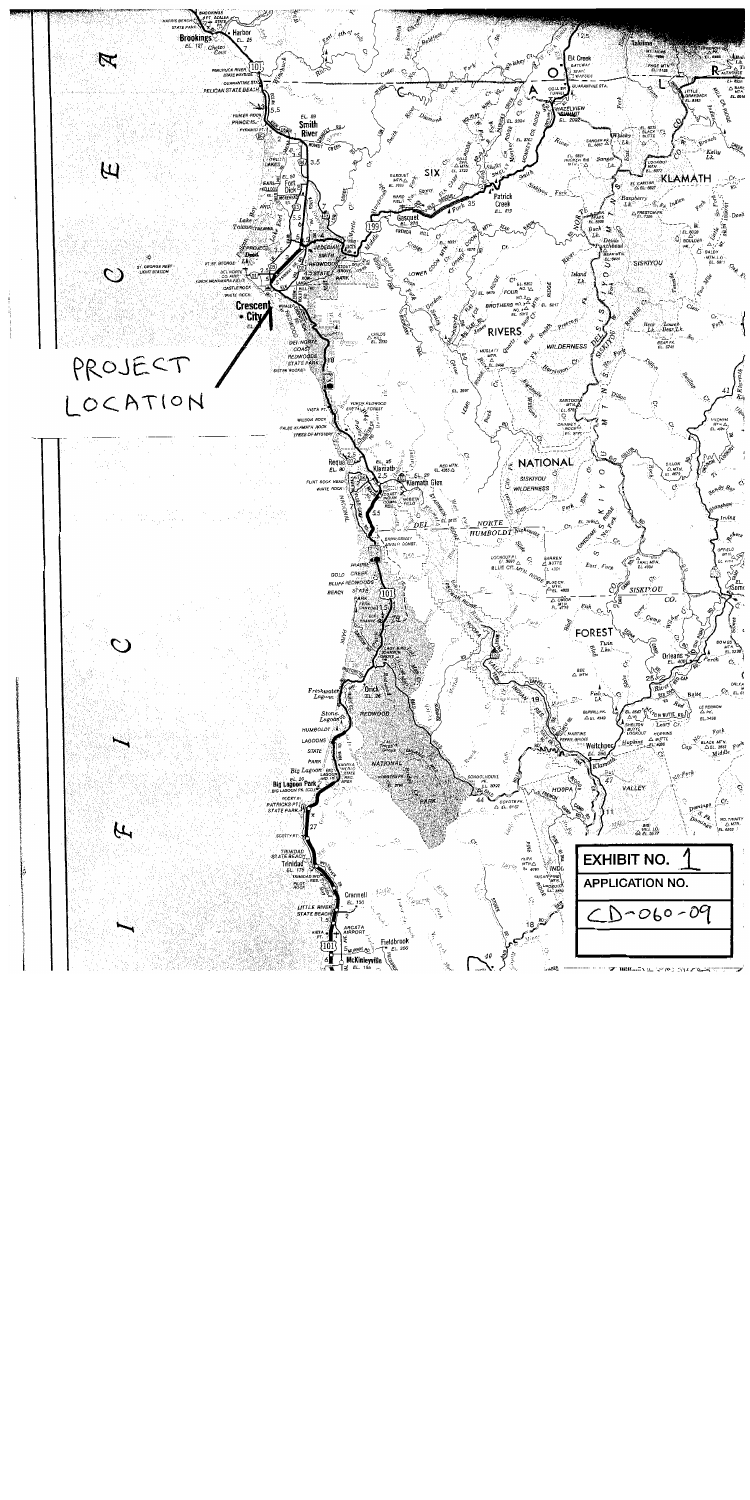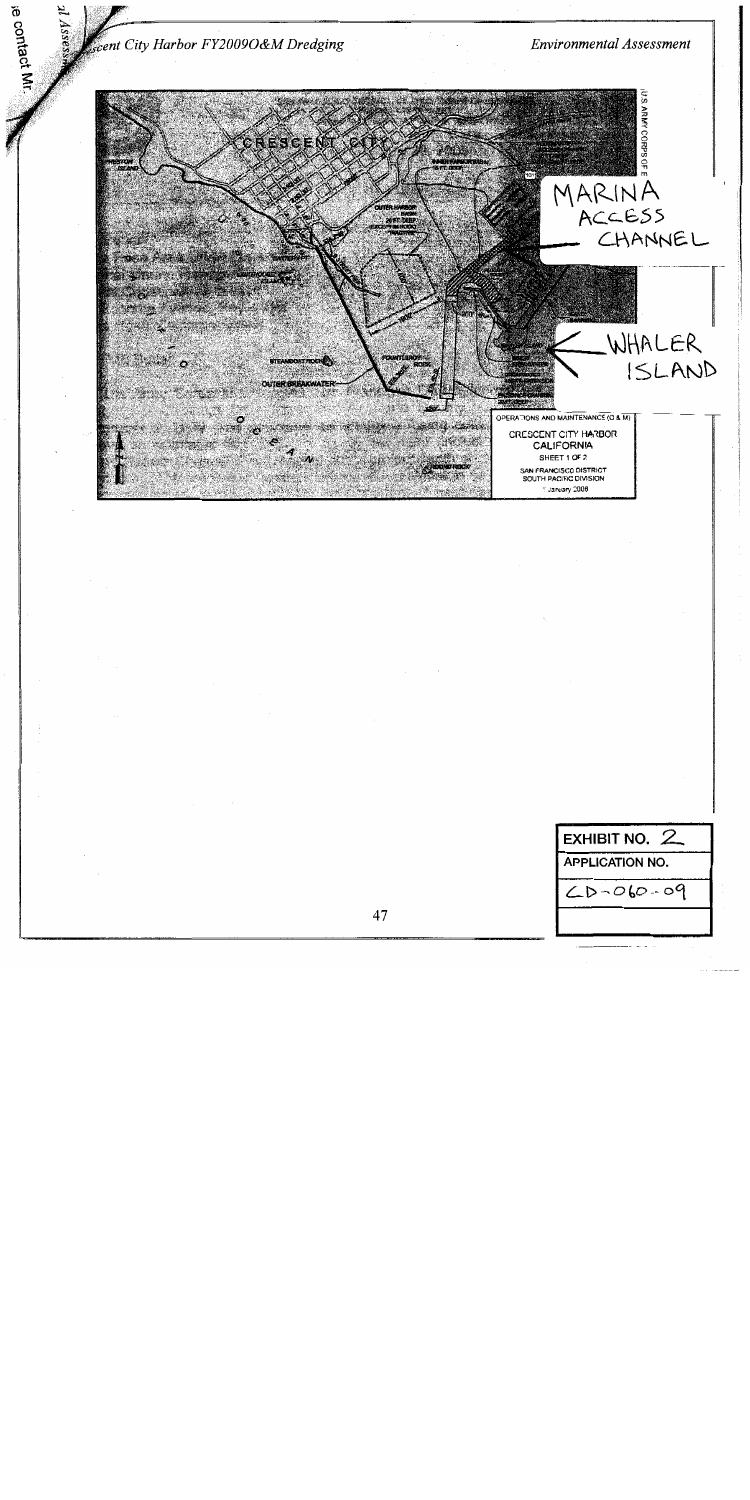scent City Harbor FY2009O&M Dredging

ie contact Mr

**Environmental Assessment** 



| <b>EXHIBIT NO.</b>     |  |  |
|------------------------|--|--|
| <b>APPLICATION NO.</b> |  |  |
| $20 - 060 - 09$        |  |  |
|                        |  |  |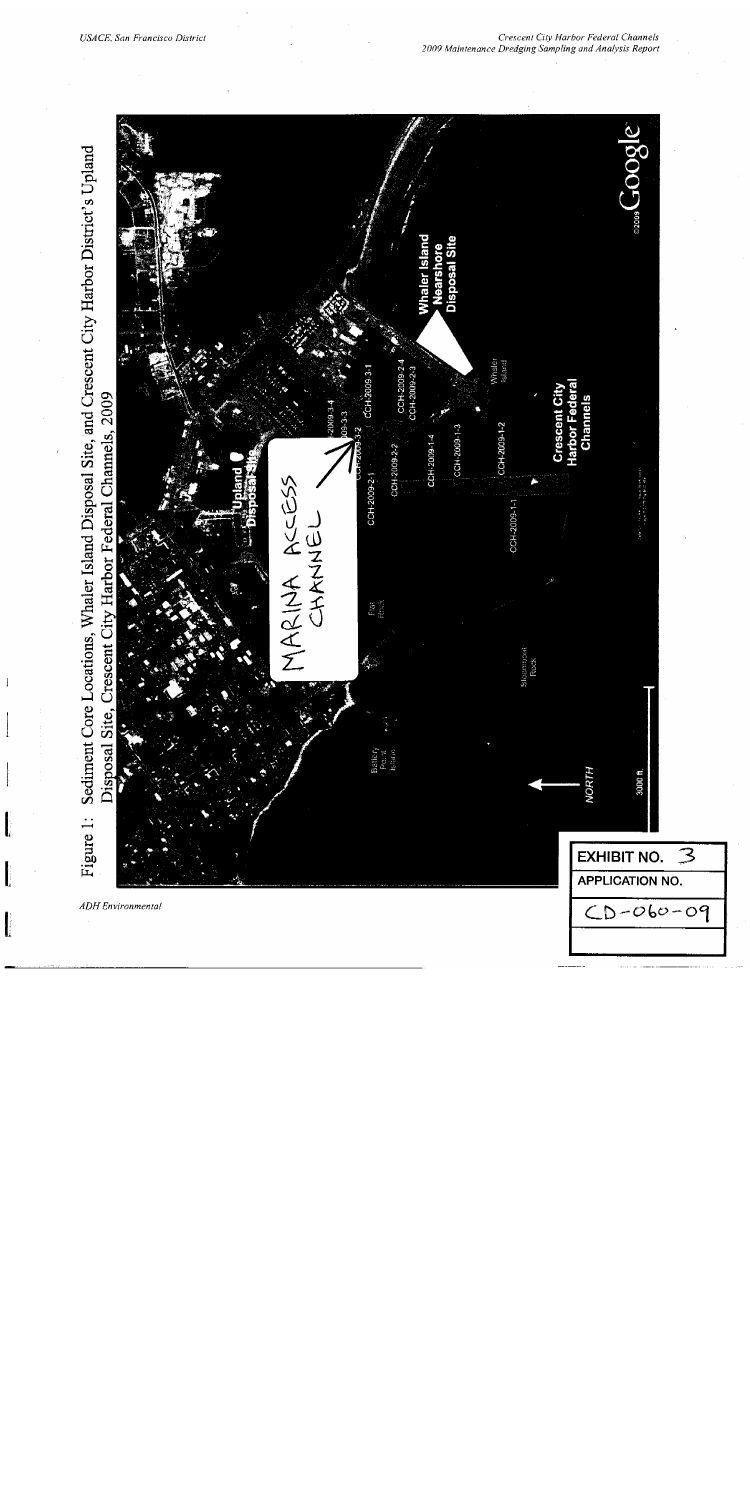$\pmb{\downarrow}$ 

 $\mathbf{I}$ 

 $\mathbf{I}$ 

I

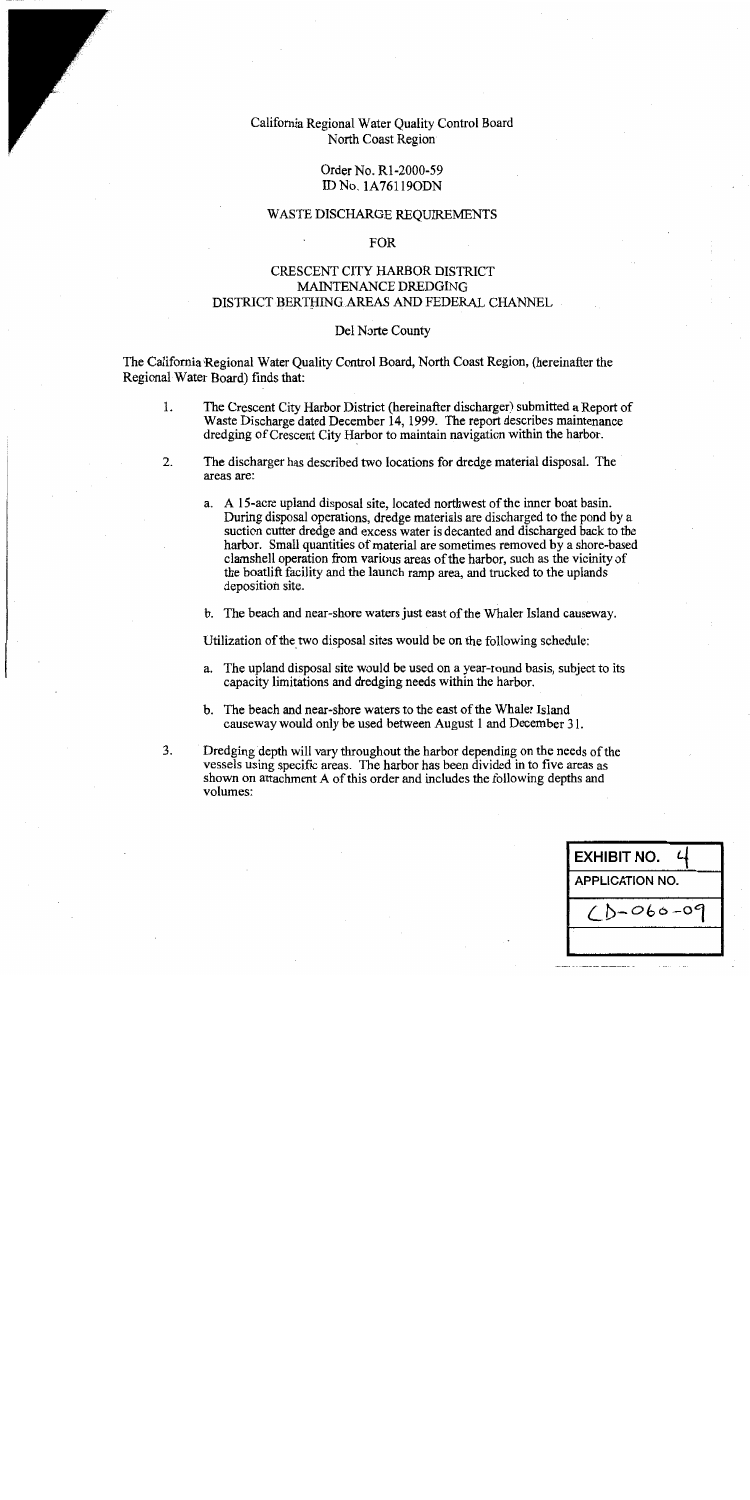# California Regional Water Ouality Control Board North Coast Region

## Order No. R1-2000-59 ID No. 1A76119ODN

## WASTE DISCHARGE REQUIREMENTS

## **FOR**

# CRESCENT CITY HARBOR DISTRICT MAINTENANCE DREDGING DISTRICT BERTHING AREAS AND FEDERAL CHANNEL

## Del Norte County

The California Regional Water Quality Control Board, North Coast Region, (hereinafter the Regional Water Board) finds that:

- $1.$ The Crescent City Harbor District (hereinafter discharger) submitted a Report of Waste Discharge dated December 14, 1999. The report describes maintenance dredging of Crescent City Harbor to maintain navigation within the harbor.
- 2. The discharger has described two locations for dredge material disposal. The areas are:
	- a. A 15-acre upland disposal site, located northwest of the inner boat basin. During disposal operations, dredge materials are discharged to the pond by a suction cutter dredge and excess water is decanted and discharged back to the harbor. Small quantities of material are sometimes removed by a shore-based clamshell operation from various areas of the harbor, such as the vicinity of the boatlift facility and the launch ramp area, and trucked to the uplands deposition site.

b. The beach and near-shore waters just east of the Whaler Island causeway.

Utilization of the two disposal sites would be on the following schedule:

- a. The upland disposal site would be used on a year-round basis, subject to its capacity limitations and dredging needs within the harbor.
- b. The beach and near-shore waters to the east of the Whaler Island causeway would only be used between August 1 and December 31.
- $3<sub>1</sub>$ Dredging depth will vary throughout the harbor depending on the needs of the vessels using specific areas. The harbor has been divided in to five areas as shown on attachment A of this order and includes the following depths and volumes:

| <b>EXHIBIT NO.</b>     |  |  |
|------------------------|--|--|
| <b>APPLICATION NO.</b> |  |  |
| ,-060-0                |  |  |
|                        |  |  |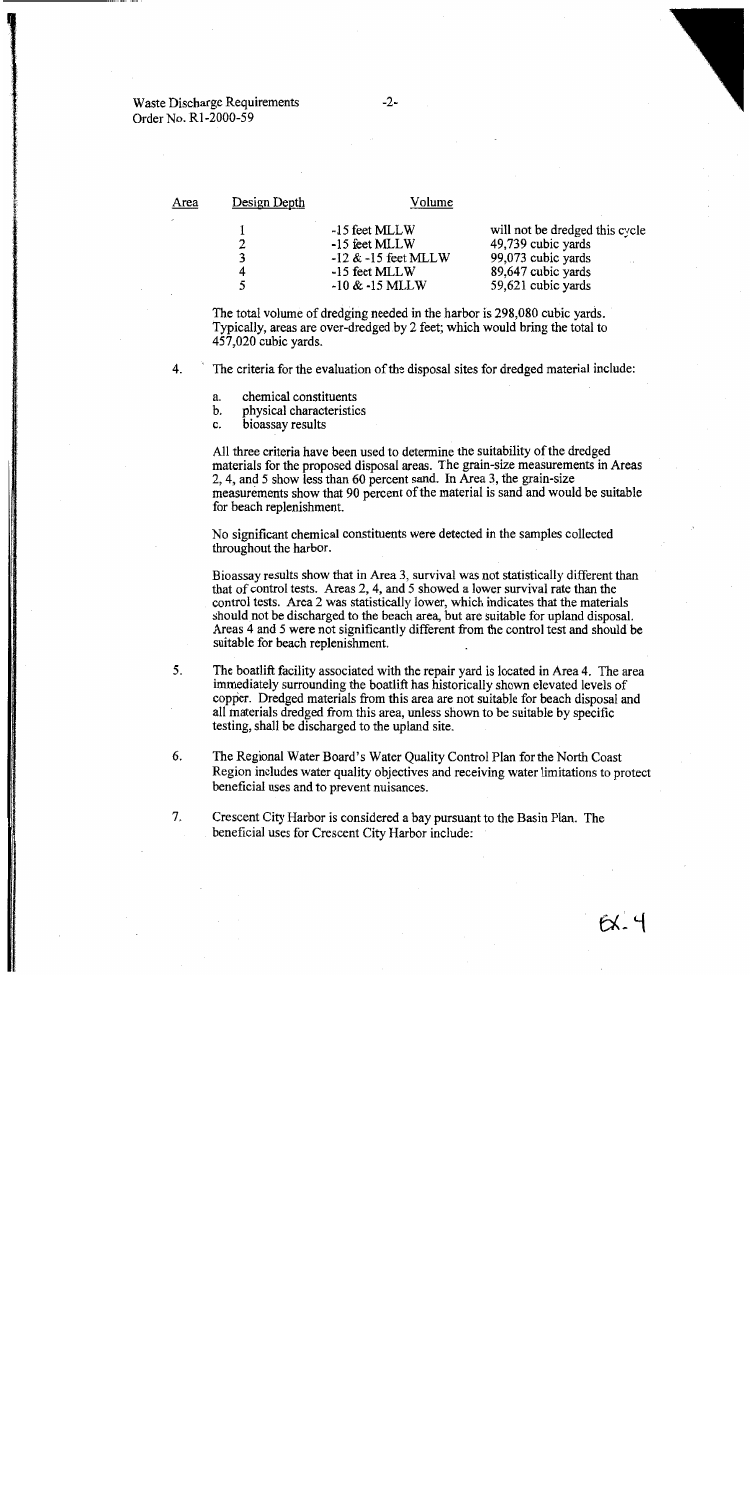| Area        | Design Depth                                                                                    | Volume                                                                                                                 |
|-------------|-------------------------------------------------------------------------------------------------|------------------------------------------------------------------------------------------------------------------------|
| 2<br>3<br>4 | -15 feet MLLW<br>-15 feet MLLW<br>$-12$ & $-15$ feet MLLW<br>-15 feet MLLW<br>$-10 \& -15$ MLLW | will not be dredged this cycle<br>49,739 cubic yards<br>99,073 cubic yards<br>89,647 cubic yards<br>59,621 cubic yards |

The total volume of dredging needed in the harbor is 298,080 cubic vards. Typically, areas are over-dredged by 2 feet; which would bring the total to 457,020 cubic yards.

4. The criteria for the evaluation of the disposal sites for dredged material include:

- chemical constituents a.
- physical characteristics b.
- bioassay results c.

All three criteria have been used to determine the suitability of the dredged materials for the proposed disposal areas. The grain-size measurements in Areas 2, 4, and 5 show less than 60 percent sand. In Area 3, the grain-size measurements show that 90 percent of the material is sand and would be suitable for beach replenishment.

No significant chemical constituents were detected in the samples collected throughout the harbor.

Bioassay results show that in Area 3, survival was not statistically different than that of control tests. Areas 2, 4, and 5 showed a lower survival rate than the control tests. Area 2 was statistically lower, which indicates that the materials should not be discharged to the beach area, but are suitable for upland disposal. Areas 4 and 5 were not significantly different from the control test and should be suitable for beach replenishment.

- $5<sub>1</sub>$ The boatlift facility associated with the repair yard is located in Area 4. The area immediately surrounding the boatlift has historically shown elevated levels of copper. Dredged materials from this area are not suitable for beach disposal and all materials dredged from this area, unless shown to be suitable by specific testing, shall be discharged to the upland site.
- 6. The Regional Water Board's Water Quality Control Plan for the North Coast Region includes water quality objectives and receiving water limitations to protect beneficial uses and to prevent nuisances.
- 7. Crescent City Harbor is considered a bay pursuant to the Basin Plan. The beneficial uses for Crescent City Harbor include: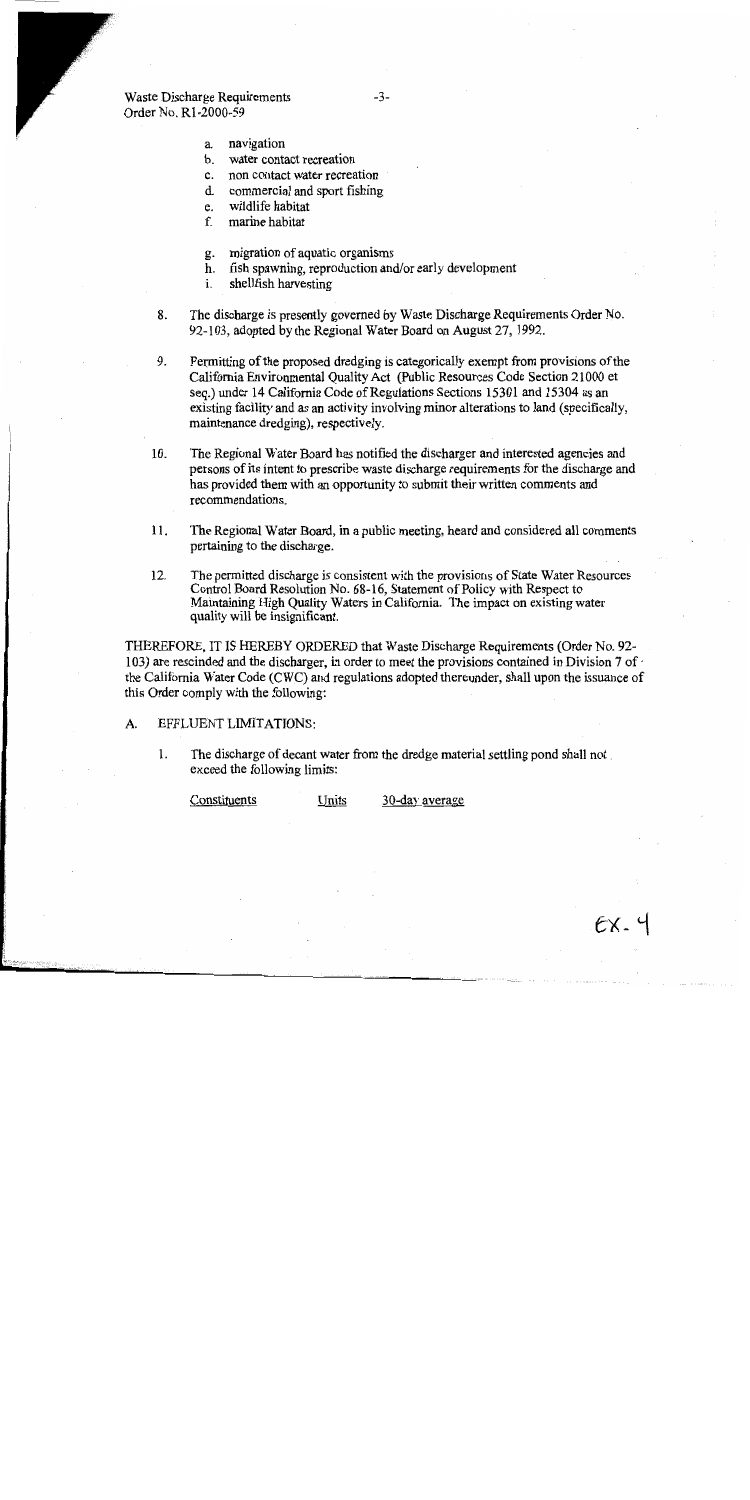- a. navigation
- b. water contact recreation
- $c.$ non contact water recreation
- d. commercial and sport fishing
- wildlife habitat e.
- $f_{\cdot}$ marine habitat
- migration of aquatic organisms g.
- fish spawning, reproduction and/or early development h.
- shellfish harvesting i.
- The discharge is presently governed by Waste Discharge Requirements Order No. 8. 92-103, adopted by the Regional Water Board on August 27, 1992.
- 9. Permitting of the proposed dredging is categorically exempt from provisions of the California Environmental Quality Act (Public Resources Code Section 21000 et seq.) under 14 California Code of Regulations Sections 15301 and 15304 as an existing facility and as an activity involving minor alterations to land (specifically, maintenance dredging), respectively.
- 10. The Regional Water Board has notified the discharger and interested agencies and persons of its intent to prescribe waste discharge requirements for the discharge and has provided them with an opportunity to submit their written comments and recommendations.
- 11. The Regional Water Board, in a public meeting, heard and considered all comments pertaining to the discharge.
- $12.$ The permitted discharge is consistent with the provisions of State Water Resources Control Board Resolution No. 68-16. Statement of Policy with Respect to Maintaining High Quality Waters in California. The impact on existing water quality will be insignificant.

THEREFORE, IT IS HEREBY ORDERED that Waste Discharge Requirements (Order No. 92-103) are rescinded and the discharger, in order to meet the provisions contained in Division 7 of  $\cdot$ the California Water Code (CWC) and regulations adopted thereunder, shall upon the issuance of this Order comply with the following:

#### EFFLUENT LIMITATIONS: A.

1. The discharge of decant water from the dredge material settling pond shall not exceed the following limits:

Constituents Units 30-day average

 $EX.4$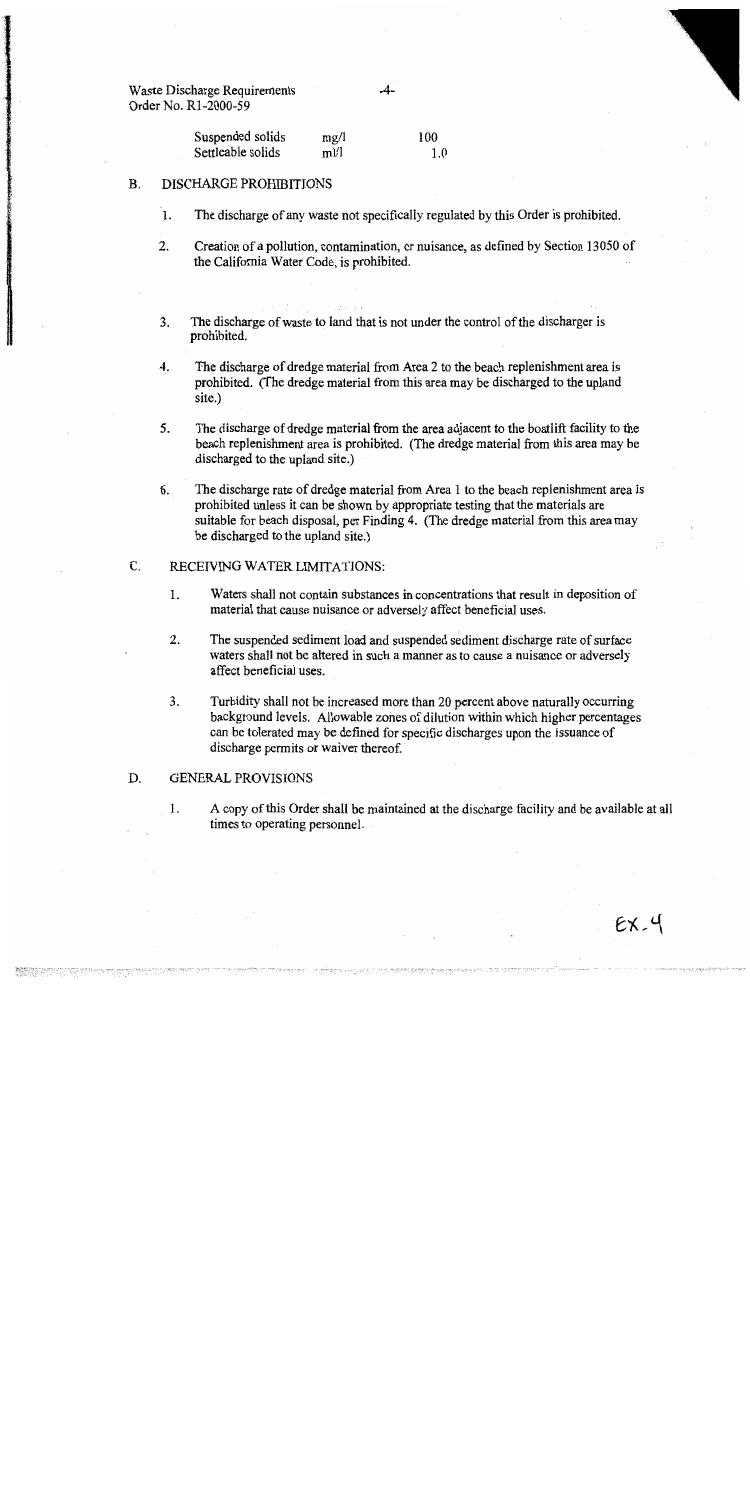> Suspended solids 100  $mg/1$ Settleable solids  $m!/l$  $1.0$

#### **DISCHARGE PROHIBITIONS B.**

1. The discharge of any waste not specifically regulated by this Order is prohibited.

 $-4-$ 

- $2.$ Creation of a pollution, contamination, or nuisance, as defined by Section 13050 of the California Water Code, is prohibited.
- 3. The discharge of waste to land that is not under the control of the discharger is prohibited.
- $\overline{4}$ . The discharge of dredge material from Area 2 to the beach replenishment area is prohibited. (The dredge material from this area may be discharged to the upland site.)
- $5<sub>1</sub>$ The discharge of dredge material from the area adjacent to the boatlift facility to the beach replenishment area is prohibited. (The dredge material from this area may be discharged to the upland site.)
- 6. The discharge rate of dredge material from Area 1 to the beach replenishment area is prohibited unless it can be shown by appropriate testing that the materials are suitable for beach disposal, per Finding 4. (The dredge material from this area may be discharged to the upland site.)

#### $\overline{C}$ . RECEIVING WATER LIMITATIONS:

- $1.$ Waters shall not contain substances in concentrations that result in deposition of material that cause nuisance or adversely affect beneficial uses.
- $2.$ The suspended sediment load and suspended sediment discharge rate of surface waters shall not be altered in such a manner as to cause a nuisance or adversely affect beneficial uses.
- 3. Turbidity shall not be increased more than 20 percent above naturally occurring background levels. Allowable zones of dilution within which higher percentages can be tolerated may be defined for specific discharges upon the issuance of discharge permits or waiver thereof.

#### D. **GENERAL PROVISIONS**

 $\mathbf{1}$ . A copy of this Order shall be maintained at the discharge facility and be available at all times to operating personnel.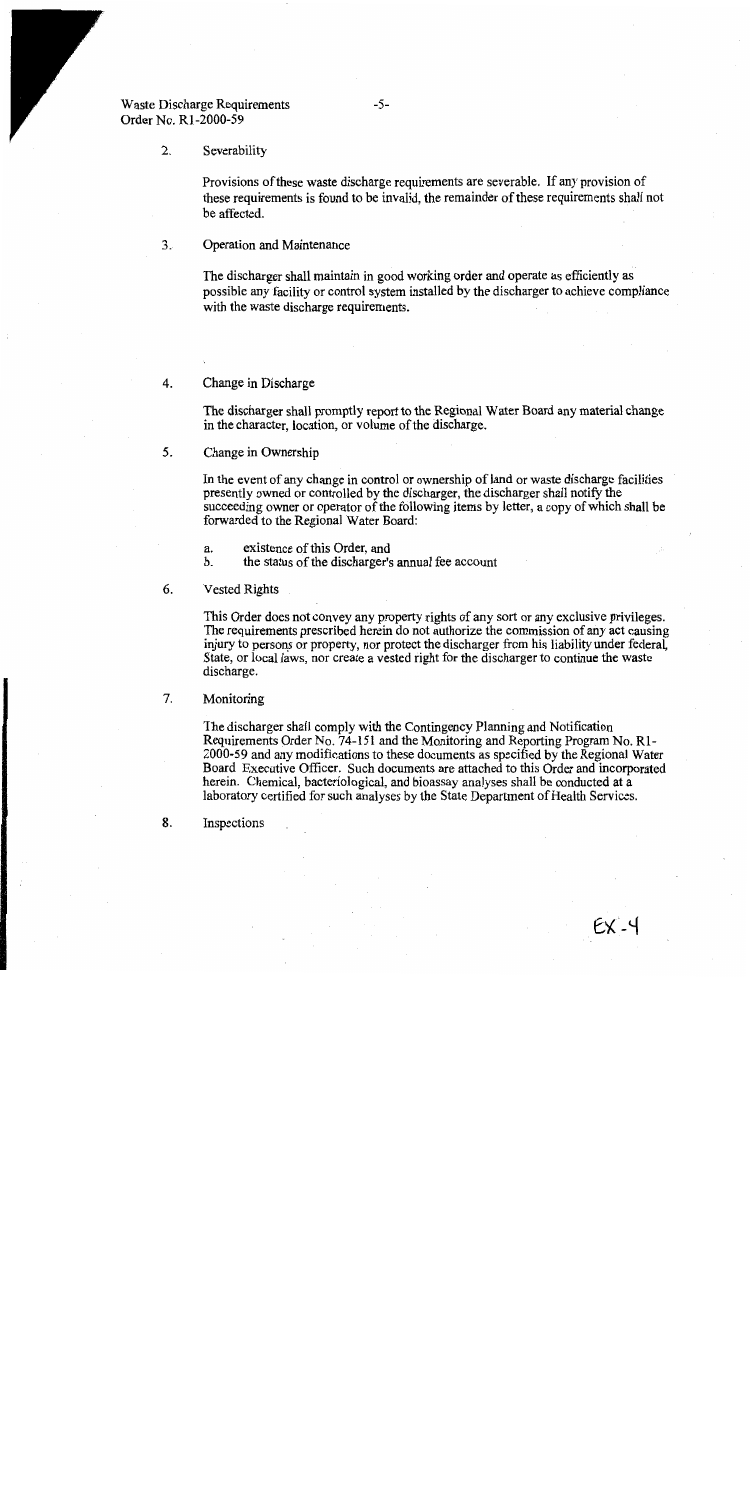#### $2.$ Severability

Provisions of these waste discharge requirements are severable. If any provision of these requirements is found to be invalid, the remainder of these requirements shall not be affected.

 $3.5$ Operation and Maintenance

> The discharger shall maintain in good working order and operate as efficiently as possible any facility or control system installed by the discharger to achieve compliance with the waste discharge requirements.

#### 4. Change in Discharge

The discharger shall promptly report to the Regional Water Board any material change in the character, location, or volume of the discharge.

5. Change in Ownership

> In the event of any change in control or ownership of land or waste discharge facilities presently owned or controlled by the discharger, the discharger shall notify the succeeding owner or operator of the following items by letter, a copy of which shall be forwarded to the Regional Water Board:

 $\mathbf{a}$ . existence of this Order, and

the status of the discharger's annual fee account b.

6. **Vested Rights** 

> This Order does not convey any property rights of any sort or any exclusive privileges. The requirements prescribed herein do not authorize the commission of any act causing injury to persons or property, nor protect the discharger from his liability under federal, State, or local laws, nor create a vested right for the discharger to continue the waste discharge.

7. Monitoring

> The discharger shall comply with the Contingency Planning and Notification Requirements Order No. 74-151 and the Monitoring and Reporting Program No. R1-2000-59 and any modifications to these documents as specified by the Regional Water Board Executive Officer. Such documents are attached to this Order and incorporated herein. Chemical, bacteriological, and bioassay analyses shall be conducted at a laboratory certified for such analyses by the State Department of Health Services.

8. Inspections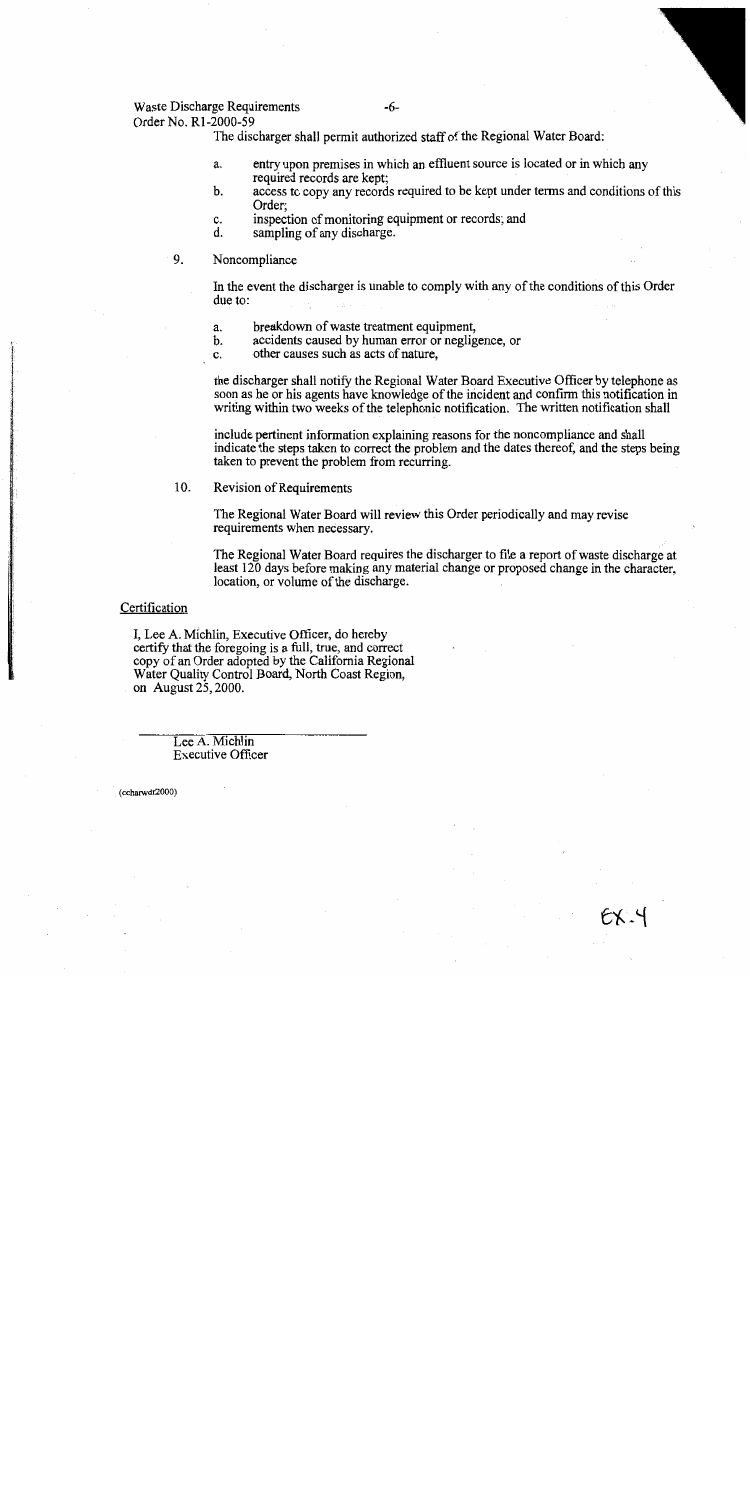## Waste Discharge Requirements

 $-6-$ 

Order No. R1-2000-59 The discharger shall permit authorized staff of the Regional Water Board:

- entry upon premises in which an effluent source is located or in which any a. required records are kent:
- access to copy any records required to be kept under terms and conditions of this b. Order:
- inspection of monitoring equipment or records; and c.
- $\mathbf{d}$ . sampling of any discharge.
- 9. Noncompliance

In the event the discharger is unable to comply with any of the conditions of this Order due to:

- breakdown of waste treatment equipment, a.
- b. accidents caused by human error or negligence, or

c. other causes such as acts of nature.

the discharger shall notify the Regional Water Board Executive Officer by telephone as soon as he or his agents have knowledge of the incident and confirm this notification in writing within two weeks of the telephonic notification. The written notification shall

include pertinent information explaining reasons for the noncompliance and shall indicate the steps taken to correct the problem and the dates thereof, and the steps being taken to prevent the problem from recurring.

10. Revision of Requirements

> The Regional Water Board will review this Order periodically and may revise requirements when necessary.

The Regional Water Board requires the discharger to file a report of waste discharge at least 120 days before making any material change or proposed change in the character, location, or volume of the discharge.

## Certification

I, Lee A. Michlin, Executive Officer, do hereby certify that the foregoing is a full, true, and correct copy of an Order adopted by the California Regional Water Quality Control Board, North Coast Region, on August  $25$ , 2000.

> Lee A. Michlin **Executive Officer**

(ccharwdr2000)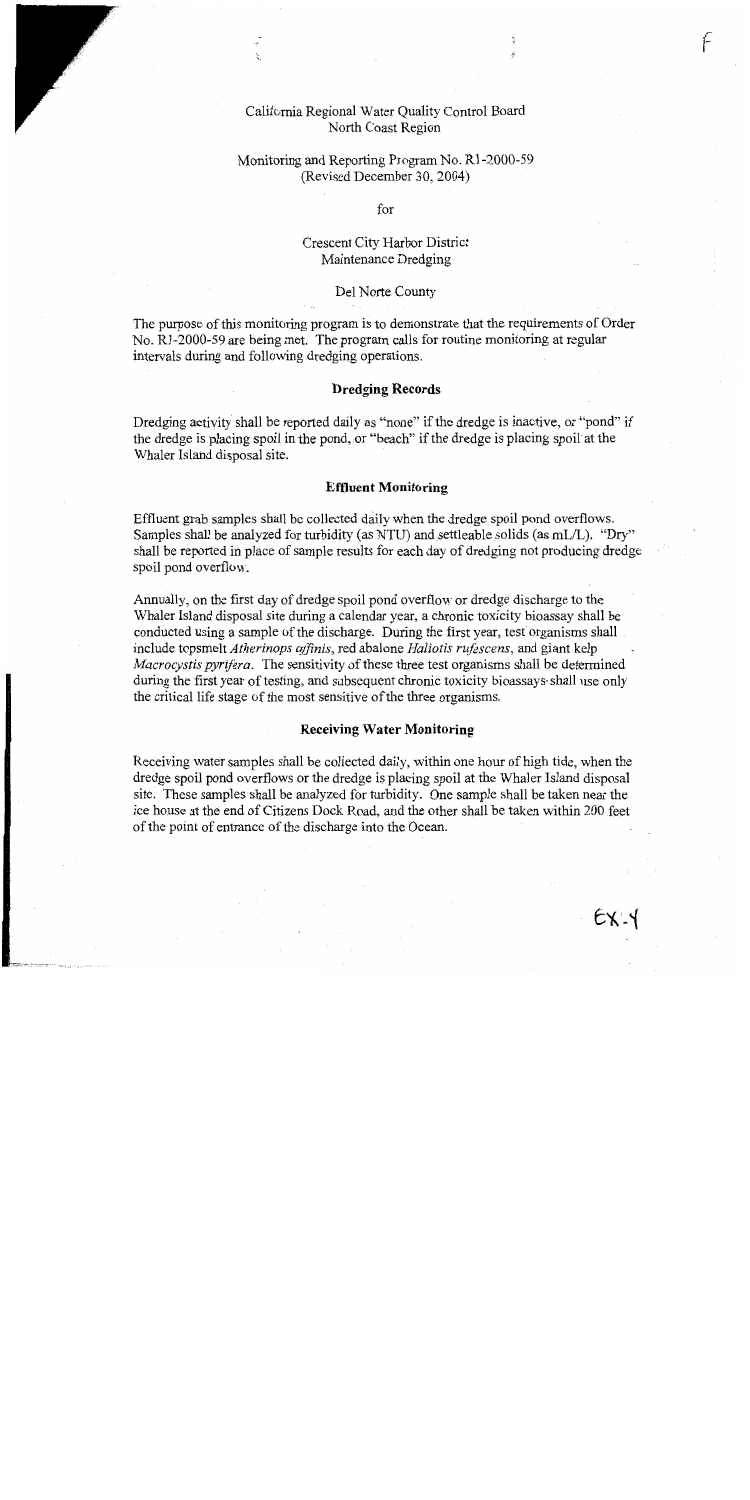# California Regional Water Quality Control Board North Coast Region

# Monitoring and Reporting Program No. R1-2000-59 (Revised December 30, 2004)

for

# Crescent City Harbor District Maintenance Dredging

## Del Norte County

The purpose of this monitoring program is to demonstrate that the requirements of Order No. R1-2000-59 are being met. The program calls for routine monitoring at regular intervals during and following dredging operations.

## **Dredging Records**

Dredging activity shall be reported daily as "none" if the dredge is inactive, or "pond" if the dredge is placing spoil in the pond, or "beach" if the dredge is placing spoil at the Whaler Island disposal site.

## **Effluent Monitoring**

Effluent grab samples shall be collected daily when the dredge spoil pond overflows. Samples shall be analyzed for turbidity (as NTU) and settleable solids (as mL/L). "Dry" shall be reported in place of sample results for each day of dredging not producing dredge spoil pond overflow.

Annually, on the first day of dredge spoil pond overflow or dredge discharge to the Whaler Island disposal site during a calendar year, a chronic toxicity bioassay shall be conducted using a sample of the discharge. During the first year, test organisms shall include topsmelt Atherinops affinis, red abalone Haliotis rufescens, and giant kelp *Macrocystis pyrifera.* The sensitivity of these three test organisms shall be determined during the first year of testing, and subsequent chronic toxicity bioassays shall use only the critical life stage of the most sensitive of the three organisms.

## **Receiving Water Monitoring**

Receiving water samples shall be collected daily, within one hour of high tide, when the dredge spoil pond overflows or the dredge is placing spoil at the Whaler Island disposal site. These samples shall be analyzed for turbidity. One sample shall be taken near the ice house at the end of Citizens Dock Road, and the other shall be taken within 200 feet of the point of entrance of the discharge into the Ocean.

F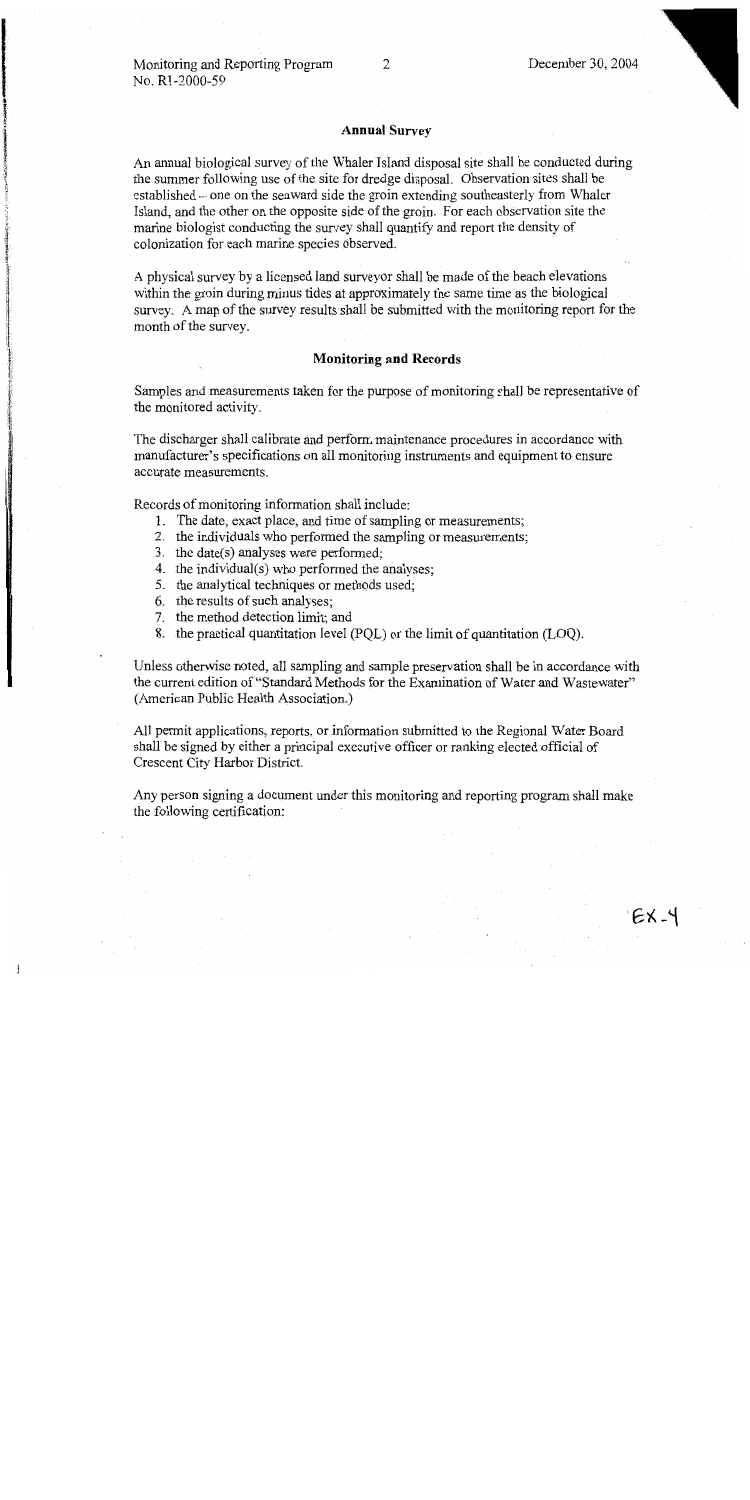## **Annual Survey**

An annual biological survey of the Whaler Island disposal site shall be conducted during the summer following use of the site for dredge disposal. Observation sites shall be established - one on the seaward side the groin extending southeasterly from Whaler Island, and the other on the opposite side of the groin. For each observation site the marine biologist conducting the survey shall quantify and report the density of colonization for each marine species observed.

A physical survey by a licensed land surveyor shall be made of the beach elevations within the groin during minus tides at approximately the same time as the biological survey. A map of the survey results shall be submitted with the monitoring report for the month of the survey.

## **Monitoring and Records**

Samples and measurements taken for the purpose of monitoring shall be representative of the monitored activity.

The discharger shall calibrate and perform maintenance procedures in accordance with manufacturer's specifications on all monitoring instruments and equipment to ensure accurate measurements.

Records of monitoring information shall include:

- 1. The date, exact place, and time of sampling or measurements;
- 2. the individuals who performed the sampling or measurements;
- 3. the date(s) analyses were performed;
- 4. the individual(s) who performed the analyses;
- 5. the analytical techniques or methods used;
- 6. the results of such analyses;
- 7. the method detection limit; and
- 8. the practical quantitation level (PQL) or the limit of quantitation (LOQ).

Unless otherwise noted, all sampling and sample preservation shall be in accordance with the current edition of "Standard Methods for the Examination of Water and Wastewater" (American Public Health Association.)

All permit applications, reports, or information submitted to the Regional Water Board shall be signed by either a principal executive officer or ranking elected official of Crescent City Harbor District.

Any person signing a document under this monitoring and reporting program shall make the following certification: